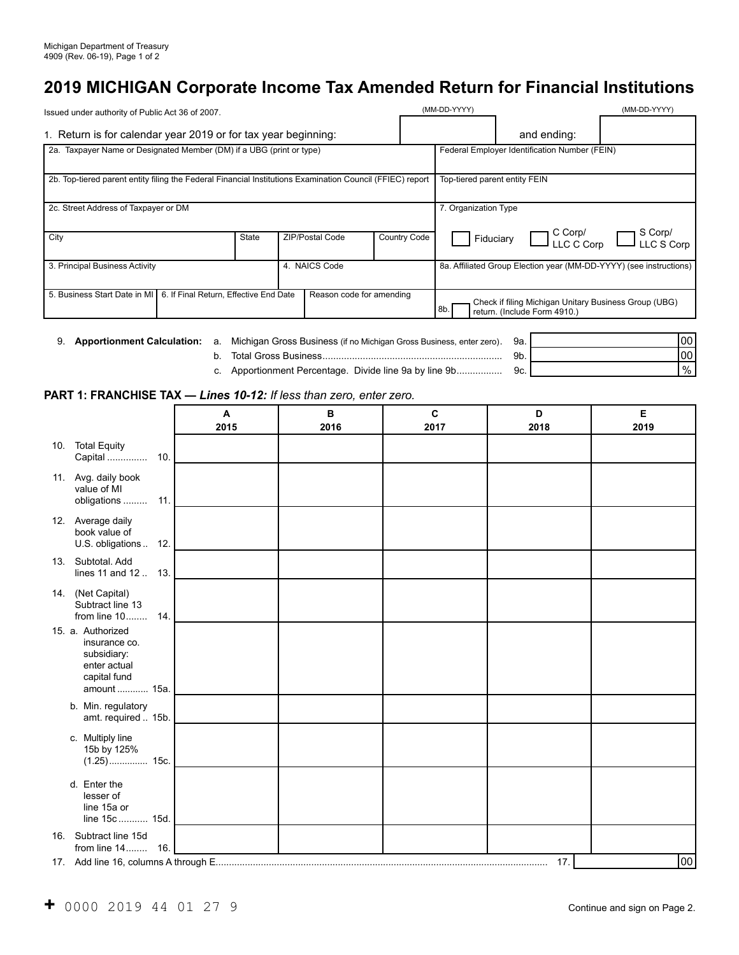# **2019 MICHIGAN Corporate Income Tax Amended Return for Financial Institutions**

| Issued under authority of Public Act 36 of 2007.                                                          |                          |                        |                                                                                              | (MM-DD-YYYY)                                  |                         | (MM-DD-YYYY)          |  |
|-----------------------------------------------------------------------------------------------------------|--------------------------|------------------------|----------------------------------------------------------------------------------------------|-----------------------------------------------|-------------------------|-----------------------|--|
| 1. Return is for calendar year 2019 or for tax year beginning:                                            |                          |                        |                                                                                              |                                               | and ending:             |                       |  |
| 2a. Taxpayer Name or Designated Member (DM) if a UBG (print or type)                                      |                          |                        |                                                                                              | Federal Employer Identification Number (FEIN) |                         |                       |  |
| 2b. Top-tiered parent entity filing the Federal Financial Institutions Examination Council (FFIEC) report |                          |                        |                                                                                              | Top-tiered parent entity FEIN                 |                         |                       |  |
| 2c. Street Address of Taxpayer or DM                                                                      |                          |                        |                                                                                              | 7. Organization Type                          |                         |                       |  |
| City                                                                                                      | <b>State</b>             | <b>ZIP/Postal Code</b> | <b>Country Code</b>                                                                          | Fiduciary                                     | $\int_{LLC}^{C\,Corp/}$ | S Corp/<br>LLC S Corp |  |
| 3. Principal Business Activity                                                                            | 4. NAICS Code            |                        | 8a. Affiliated Group Election year (MM-DD-YYYY) (see instructions)                           |                                               |                         |                       |  |
| 5. Business Start Date in MI   6. If Final Return, Effective End Date                                     | Reason code for amending |                        | Check if filing Michigan Unitary Business Group (UBG)<br>8b.<br>return. (Include Form 4910.) |                                               |                         |                       |  |

|  | 9. <b>Apportionment Calculation:</b> a. Michigan Gross Business (if no Michigan Gross Business, enter zero). 9a. |                | 100  |
|--|------------------------------------------------------------------------------------------------------------------|----------------|------|
|  | Total Gross Business                                                                                             | 9 <sub>b</sub> | 00   |
|  | c. Apportionment Percentage. Divide line 9a by line 9b                                                           | 9c.            | $\%$ |

## **PART 1: FRANCHISE TAX —** *Lines 10-12: If less than zero, enter zero.*

|                                                                                                   | A<br>2015 | B<br>2016 | C<br>2017 | D<br>2018 | Е<br>2019 |
|---------------------------------------------------------------------------------------------------|-----------|-----------|-----------|-----------|-----------|
| <b>Total Equity</b><br>10.<br>Capital  10.                                                        |           |           |           |           |           |
| 11. Avg. daily book<br>value of MI<br>obligations  11.                                            |           |           |           |           |           |
| 12. Average daily<br>book value of<br>U.S. obligations<br>12.                                     |           |           |           |           |           |
| 13. Subtotal Add<br>lines $11$ and $12$<br>13.                                                    |           |           |           |           |           |
| 14. (Net Capital)<br>Subtract line 13<br>from line $10$<br>14.                                    |           |           |           |           |           |
| 15. a. Authorized<br>insurance co.<br>subsidiary:<br>enter actual<br>capital fund<br>amount  15a. |           |           |           |           |           |
| b. Min. regulatory<br>amt. required  15b.                                                         |           |           |           |           |           |
| c. Multiply line<br>15b by 125%<br>$(1.25)$ 15c.                                                  |           |           |           |           |           |
| d. Enter the<br>lesser of<br>line 15a or<br>line 15c  15d.                                        |           |           |           |           |           |
| 16. Subtract line 15d<br>16.<br>from line 14                                                      |           |           |           |           |           |
|                                                                                                   |           |           |           | 17.       | 00        |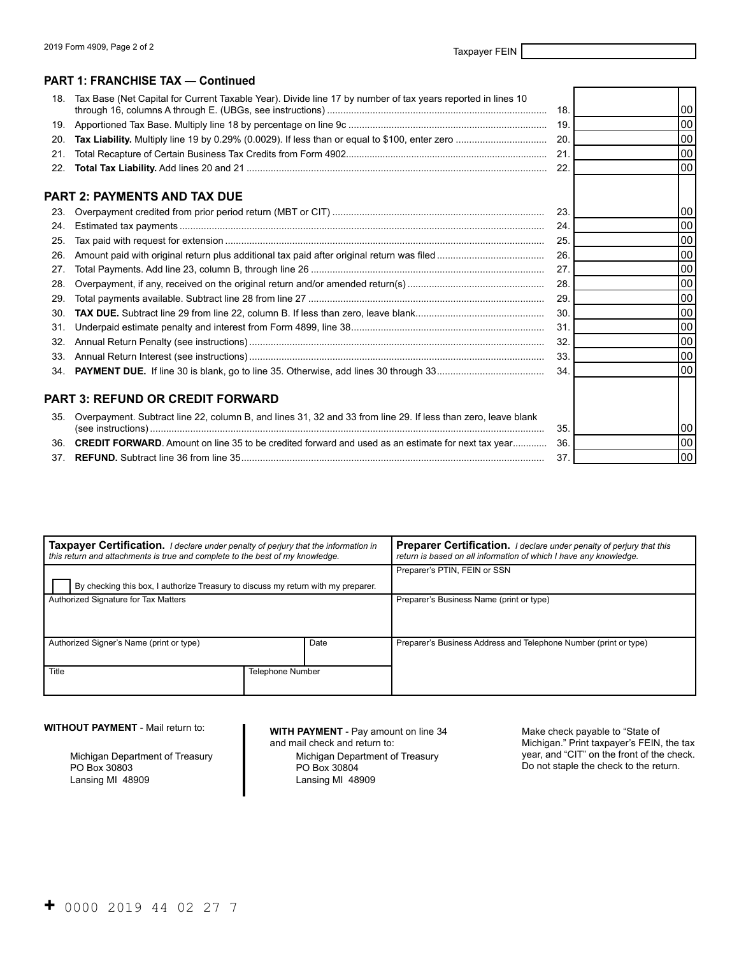#### **PART 1: FRANCHISE TAX — Continued**

| 18. | Tax Base (Net Capital for Current Taxable Year). Divide line 17 by number of tax years reported in lines 10   | 18. | 00 <sup>1</sup> |
|-----|---------------------------------------------------------------------------------------------------------------|-----|-----------------|
| 19. |                                                                                                               | 19. | $00\,$          |
| 20. |                                                                                                               | 20. | 00 <sup>1</sup> |
| 21. |                                                                                                               | 21. | 00 <sub>0</sub> |
| 22. |                                                                                                               | 22. | 00 <sup>1</sup> |
|     | PART 2: PAYMENTS AND TAX DUE                                                                                  |     |                 |
| 23. |                                                                                                               | 23. | 00 l            |
| 24. |                                                                                                               | 24. | 00              |
| 25. |                                                                                                               | 25. | 00 <sub>1</sub> |
| 26. |                                                                                                               | 26. | $00\,$          |
| 27. |                                                                                                               | 27. | $00\,$          |
| 28. |                                                                                                               | 28. | $00\,$          |
| 29. |                                                                                                               | 29. | 00 <sub>0</sub> |
| 30. |                                                                                                               | 30. | 00              |
| 31. |                                                                                                               | 31. | 00 <sub>0</sub> |
| 32. |                                                                                                               | 32. | $00\,$          |
| 33. |                                                                                                               | 33. | $00\,$          |
| 34. |                                                                                                               | 34. | 00              |
|     | PART 3: REFUND OR CREDIT FORWARD                                                                              |     |                 |
| 35. | Overpayment. Subtract line 22, column B, and lines 31, 32 and 33 from line 29. If less than zero, leave blank |     |                 |
|     |                                                                                                               | 35. | 00              |
| 36. | <b>CREDIT FORWARD.</b> Amount on line 35 to be credited forward and used as an estimate for next tax year     | 36. | 00              |
|     |                                                                                                               | 37. | 00 <sup>1</sup> |

| Taxpayer Certification. I declare under penalty of perjury that the information in<br>this return and attachments is true and complete to the best of my knowledge. |  |  | <b>Preparer Certification.</b> I declare under penalty of perjury that this<br>return is based on all information of which I have any knowledge. |  |  |
|---------------------------------------------------------------------------------------------------------------------------------------------------------------------|--|--|--------------------------------------------------------------------------------------------------------------------------------------------------|--|--|
|                                                                                                                                                                     |  |  | Preparer's PTIN, FEIN or SSN                                                                                                                     |  |  |
| By checking this box, I authorize Treasury to discuss my return with my preparer.                                                                                   |  |  |                                                                                                                                                  |  |  |
| Authorized Signature for Tax Matters                                                                                                                                |  |  | Preparer's Business Name (print or type)                                                                                                         |  |  |
|                                                                                                                                                                     |  |  |                                                                                                                                                  |  |  |
|                                                                                                                                                                     |  |  |                                                                                                                                                  |  |  |
| Authorized Signer's Name (print or type)<br>Date                                                                                                                    |  |  | Preparer's Business Address and Telephone Number (print or type)                                                                                 |  |  |
|                                                                                                                                                                     |  |  |                                                                                                                                                  |  |  |
| Title<br><b>Telephone Number</b>                                                                                                                                    |  |  |                                                                                                                                                  |  |  |
|                                                                                                                                                                     |  |  |                                                                                                                                                  |  |  |

**WITHOUT PAYMENT** - Mail return to:

Michigan Department of Treasury PO Box 30803 Lansing MI 48909

**WITH PAYMENT** - Pay amount on line 34 Make check payable to "State of and mail check and return to: Michigan." Print taxpayer's FEIN,

Michigan Department of Treasury<br>PO Box 30804 Lansing MI 48909

Michigan." Print taxpayer's FEIN, the tax<br>year, and "CIT" on the front of the check. Do not staple the check to the return.